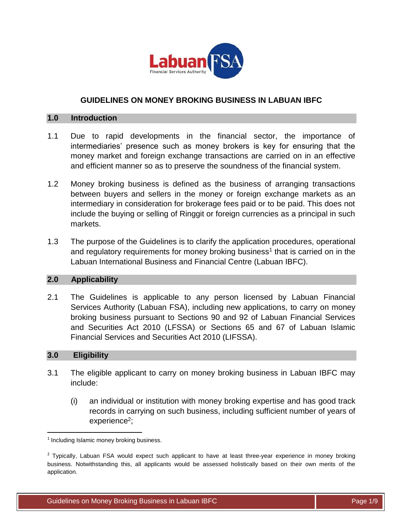

# **GUIDELINES ON MONEY BROKING BUSINESS IN LABUAN IBFC**

#### **1.0 Introduction**

- 1.1 Due to rapid developments in the financial sector, the importance of intermediaries' presence such as money brokers is key for ensuring that the money market and foreign exchange transactions are carried on in an effective and efficient manner so as to preserve the soundness of the financial system.
- 1.2 Money broking business is defined as the business of arranging transactions between buyers and sellers in the money or foreign exchange markets as an intermediary in consideration for brokerage fees paid or to be paid. This does not include the buying or selling of Ringgit or foreign currencies as a principal in such markets.
- 1.3 The purpose of the Guidelines is to clarify the application procedures, operational and regulatory requirements for money broking business<sup>1</sup> that is carried on in the Labuan International Business and Financial Centre (Labuan IBFC).

### **2.0 Applicability**

2.1 The Guidelines is applicable to any person licensed by Labuan Financial Services Authority (Labuan FSA), including new applications, to carry on money broking business pursuant to Sections 90 and 92 of Labuan Financial Services and Securities Act 2010 (LFSSA) or Sections 65 and 67 of Labuan Islamic Financial Services and Securities Act 2010 (LIFSSA).

# **3.0 Eligibility**

 $\overline{\phantom{a}}$ 

- 3.1 The eligible applicant to carry on money broking business in Labuan IBFC may include:
	- (i) an individual or institution with money broking expertise and has good track records in carrying on such business, including sufficient number of years of experience<sup>2</sup>;

<sup>&</sup>lt;sup>1</sup> Including Islamic money broking business.

<sup>&</sup>lt;sup>2</sup> Typically, Labuan FSA would expect such applicant to have at least three-year experience in money broking business. Notwithstanding this, all applicants would be assessed holistically based on their own merits of the application.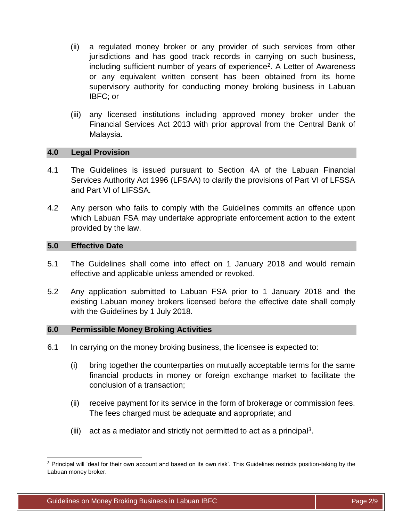- (ii) a regulated money broker or any provider of such services from other jurisdictions and has good track records in carrying on such business, including sufficient number of years of experience<sup>2</sup>. A Letter of Awareness or any equivalent written consent has been obtained from its home supervisory authority for conducting money broking business in Labuan IBFC; or
- (iii) any licensed institutions including approved money broker under the Financial Services Act 2013 with prior approval from the Central Bank of Malaysia.

### **4.0 Legal Provision**

- 4.1 The Guidelines is issued pursuant to Section 4A of the Labuan Financial Services Authority Act 1996 (LFSAA) to clarify the provisions of Part VI of LFSSA and Part VI of LIFSSA.
- 4.2 Any person who fails to comply with the Guidelines commits an offence upon which Labuan FSA may undertake appropriate enforcement action to the extent provided by the law.

### **5.0 Effective Date**

 $\overline{\phantom{a}}$ 

- 5.1 The Guidelines shall come into effect on 1 January 2018 and would remain effective and applicable unless amended or revoked.
- 5.2 Any application submitted to Labuan FSA prior to 1 January 2018 and the existing Labuan money brokers licensed before the effective date shall comply with the Guidelines by 1 July 2018.

### **6.0 Permissible Money Broking Activities**

- 6.1 In carrying on the money broking business, the licensee is expected to:
	- (i) bring together the counterparties on mutually acceptable terms for the same financial products in money or foreign exchange market to facilitate the conclusion of a transaction;
	- (ii) receive payment for its service in the form of brokerage or commission fees. The fees charged must be adequate and appropriate; and
	- (iii) act as a mediator and strictly not permitted to act as a principal<sup>3</sup>.

<sup>3</sup> Principal will 'deal for their own account and based on its own risk'. This Guidelines restricts position-taking by the Labuan money broker.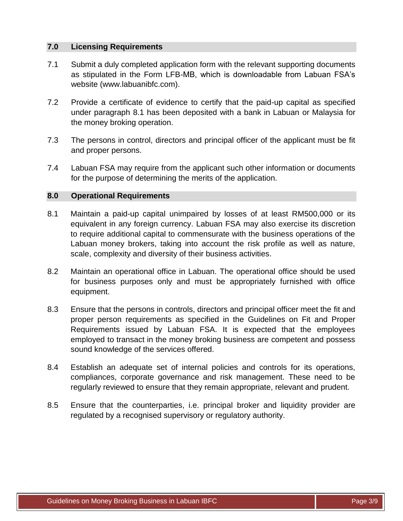# **7.0 Licensing Requirements**

- 7.1 Submit a duly completed application form with the relevant supporting documents as stipulated in the Form LFB-MB, which is downloadable from Labuan FSA's website (www.labuanibfc.com).
- 7.2 Provide a certificate of evidence to certify that the paid-up capital as specified under paragraph 8.1 has been deposited with a bank in Labuan or Malaysia for the money broking operation.
- 7.3 The persons in control, directors and principal officer of the applicant must be fit and proper persons.
- 7.4 Labuan FSA may require from the applicant such other information or documents for the purpose of determining the merits of the application.

### **8.0 Operational Requirements**

- 8.1 Maintain a paid-up capital unimpaired by losses of at least RM500,000 or its equivalent in any foreign currency. Labuan FSA may also exercise its discretion to require additional capital to commensurate with the business operations of the Labuan money brokers, taking into account the risk profile as well as nature, scale, complexity and diversity of their business activities.
- 8.2 Maintain an operational office in Labuan. The operational office should be used for business purposes only and must be appropriately furnished with office equipment.
- 8.3 Ensure that the persons in controls, directors and principal officer meet the fit and proper person requirements as specified in the Guidelines on Fit and Proper Requirements issued by Labuan FSA. It is expected that the employees employed to transact in the money broking business are competent and possess sound knowledge of the services offered.
- 8.4 Establish an adequate set of internal policies and controls for its operations, compliances, corporate governance and risk management. These need to be regularly reviewed to ensure that they remain appropriate, relevant and prudent.
- 8.5 Ensure that the counterparties, i.e. principal broker and liquidity provider are regulated by a recognised supervisory or regulatory authority.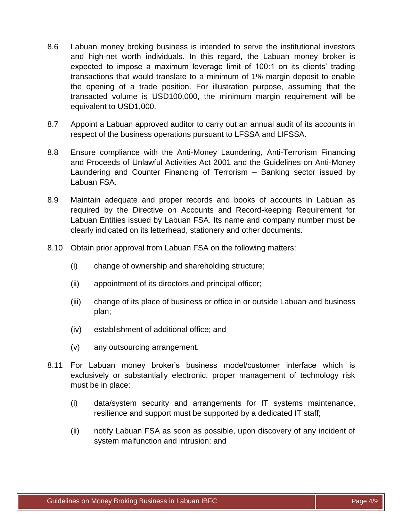- 8.6 Labuan money broking business is intended to serve the institutional investors and high-net worth individuals. In this regard, the Labuan money broker is expected to impose a maximum leverage limit of 100:1 on its clients' trading transactions that would translate to a minimum of 1% margin deposit to enable the opening of a trade position. For illustration purpose, assuming that the transacted volume is USD100,000, the minimum margin requirement will be equivalent to USD1,000.
- 8.7 Appoint a Labuan approved auditor to carry out an annual audit of its accounts in respect of the business operations pursuant to LFSSA and LIFSSA.
- 8.8 Ensure compliance with the Anti-Money Laundering, Anti-Terrorism Financing and Proceeds of Unlawful Activities Act 2001 and the Guidelines on Anti-Money Laundering and Counter Financing of Terrorism – Banking sector issued by Labuan FSA.
- 8.9 Maintain adequate and proper records and books of accounts in Labuan as required by the Directive on Accounts and Record-keeping Requirement for Labuan Entities issued by Labuan FSA. Its name and company number must be clearly indicated on its letterhead, stationery and other documents.
- 8.10 Obtain prior approval from Labuan FSA on the following matters:
	- (i) change of ownership and shareholding structure;
	- (ii) appointment of its directors and principal officer;
	- (iii) change of its place of business or office in or outside Labuan and business plan;
	- (iv) establishment of additional office; and
	- (v) any outsourcing arrangement.
- 8.11 For Labuan money broker's business model/customer interface which is exclusively or substantially electronic, proper management of technology risk must be in place:
	- (i) data/system security and arrangements for IT systems maintenance, resilience and support must be supported by a dedicated IT staff;
	- (ii) notify Labuan FSA as soon as possible, upon discovery of any incident of system malfunction and intrusion; and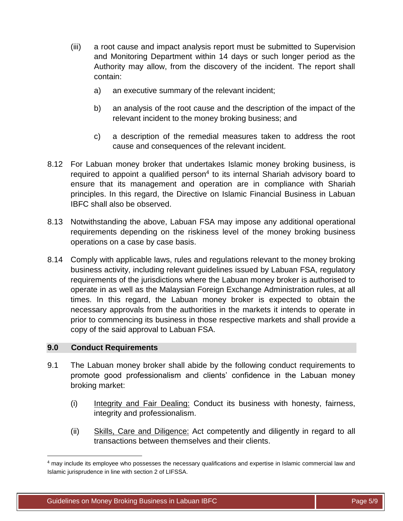- (iii) a root cause and impact analysis report must be submitted to Supervision and Monitoring Department within 14 days or such longer period as the Authority may allow, from the discovery of the incident. The report shall contain:
	- a) an executive summary of the relevant incident;
	- b) an analysis of the root cause and the description of the impact of the relevant incident to the money broking business; and
	- c) a description of the remedial measures taken to address the root cause and consequences of the relevant incident.
- 8.12 For Labuan money broker that undertakes Islamic money broking business, is required to appoint a qualified person $4$  to its internal Shariah advisory board to ensure that its management and operation are in compliance with Shariah principles. In this regard, the Directive on Islamic Financial Business in Labuan IBFC shall also be observed.
- 8.13 Notwithstanding the above, Labuan FSA may impose any additional operational requirements depending on the riskiness level of the money broking business operations on a case by case basis.
- 8.14 Comply with applicable laws, rules and regulations relevant to the money broking business activity, including relevant guidelines issued by Labuan FSA, regulatory requirements of the jurisdictions where the Labuan money broker is authorised to operate in as well as the Malaysian Foreign Exchange Administration rules, at all times. In this regard, the Labuan money broker is expected to obtain the necessary approvals from the authorities in the markets it intends to operate in prior to commencing its business in those respective markets and shall provide a copy of the said approval to Labuan FSA.

# **9.0 Conduct Requirements**

 $\overline{\phantom{a}}$ 

- 9.1 The Labuan money broker shall abide by the following conduct requirements to promote good professionalism and clients' confidence in the Labuan money broking market:
	- (i) Integrity and Fair Dealing: Conduct its business with honesty, fairness, integrity and professionalism.
	- (ii) Skills, Care and Diligence: Act competently and diligently in regard to all transactions between themselves and their clients.

<sup>&</sup>lt;sup>4</sup> may include its employee who possesses the necessary qualifications and expertise in Islamic commercial law and Islamic jurisprudence in line with section 2 of LIFSSA.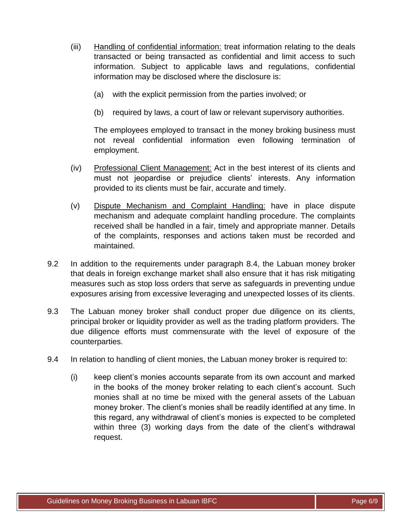- (iii) Handling of confidential information: treat information relating to the deals transacted or being transacted as confidential and limit access to such information. Subject to applicable laws and regulations, confidential information may be disclosed where the disclosure is:
	- (a) with the explicit permission from the parties involved; or
	- (b) required by laws, a court of law or relevant supervisory authorities.

The employees employed to transact in the money broking business must not reveal confidential information even following termination of employment.

- (iv) Professional Client Management: Act in the best interest of its clients and must not jeopardise or prejudice clients' interests. Any information provided to its clients must be fair, accurate and timely.
- (v) Dispute Mechanism and Complaint Handling: have in place dispute mechanism and adequate complaint handling procedure. The complaints received shall be handled in a fair, timely and appropriate manner. Details of the complaints, responses and actions taken must be recorded and maintained.
- 9.2 In addition to the requirements under paragraph 8.4, the Labuan money broker that deals in foreign exchange market shall also ensure that it has risk mitigating measures such as stop loss orders that serve as safeguards in preventing undue exposures arising from excessive leveraging and unexpected losses of its clients.
- 9.3 The Labuan money broker shall conduct proper due diligence on its clients, principal broker or liquidity provider as well as the trading platform providers. The due diligence efforts must commensurate with the level of exposure of the counterparties.
- 9.4 In relation to handling of client monies, the Labuan money broker is required to:
	- (i) keep client's monies accounts separate from its own account and marked in the books of the money broker relating to each client's account. Such monies shall at no time be mixed with the general assets of the Labuan money broker. The client's monies shall be readily identified at any time. In this regard, any withdrawal of client's monies is expected to be completed within three (3) working days from the date of the client's withdrawal request.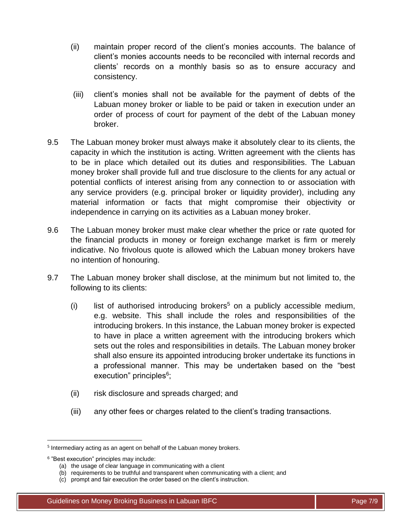- (ii) maintain proper record of the client's monies accounts. The balance of client's monies accounts needs to be reconciled with internal records and clients' records on a monthly basis so as to ensure accuracy and consistency.
- (iii) client's monies shall not be available for the payment of debts of the Labuan money broker or liable to be paid or taken in execution under an order of process of court for payment of the debt of the Labuan money broker.
- 9.5 The Labuan money broker must always make it absolutely clear to its clients, the capacity in which the institution is acting. Written agreement with the clients has to be in place which detailed out its duties and responsibilities. The Labuan money broker shall provide full and true disclosure to the clients for any actual or potential conflicts of interest arising from any connection to or association with any service providers (e.g. principal broker or liquidity provider), including any material information or facts that might compromise their objectivity or independence in carrying on its activities as a Labuan money broker.
- 9.6 The Labuan money broker must make clear whether the price or rate quoted for the financial products in money or foreign exchange market is firm or merely indicative. No frivolous quote is allowed which the Labuan money brokers have no intention of honouring.
- 9.7 The Labuan money broker shall disclose, at the minimum but not limited to, the following to its clients:
	- (i) list of authorised introducing brokers<sup>5</sup> on a publicly accessible medium, e.g. website. This shall include the roles and responsibilities of the introducing brokers. In this instance, the Labuan money broker is expected to have in place a written agreement with the introducing brokers which sets out the roles and responsibilities in details. The Labuan money broker shall also ensure its appointed introducing broker undertake its functions in a professional manner. This may be undertaken based on the "best execution" principles<sup>6</sup>;
	- (ii) risk disclosure and spreads charged; and
	- (iii) any other fees or charges related to the client's trading transactions.

 $\overline{a}$ 

<sup>&</sup>lt;sup>5</sup> Intermediary acting as an agent on behalf of the Labuan money brokers.

<sup>&</sup>lt;sup>6</sup> "Best execution" principles may include:

<sup>(</sup>a) the usage of clear language in communicating with a client

<sup>(</sup>b) requirements to be truthful and transparent when communicating with a client; and

<sup>(</sup>c) prompt and fair execution the order based on the client's instruction.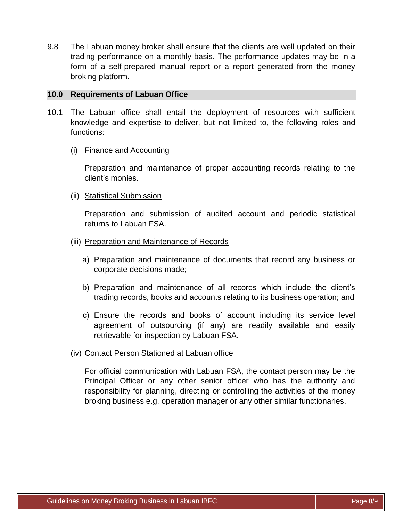9.8 The Labuan money broker shall ensure that the clients are well updated on their trading performance on a monthly basis. The performance updates may be in a form of a self-prepared manual report or a report generated from the money broking platform.

### **10.0 Requirements of Labuan Office**

- 10.1 The Labuan office shall entail the deployment of resources with sufficient knowledge and expertise to deliver, but not limited to, the following roles and functions:
	- (i) Finance and Accounting

Preparation and maintenance of proper accounting records relating to the client's monies.

(ii) Statistical Submission

Preparation and submission of audited account and periodic statistical returns to Labuan FSA.

- (iii) Preparation and Maintenance of Records
	- a) Preparation and maintenance of documents that record any business or corporate decisions made;
	- b) Preparation and maintenance of all records which include the client's trading records, books and accounts relating to its business operation; and
	- c) Ensure the records and books of account including its service level agreement of outsourcing (if any) are readily available and easily retrievable for inspection by Labuan FSA.
- (iv) Contact Person Stationed at Labuan office

For official communication with Labuan FSA, the contact person may be the Principal Officer or any other senior officer who has the authority and responsibility for planning, directing or controlling the activities of the money broking business e.g. operation manager or any other similar functionaries.